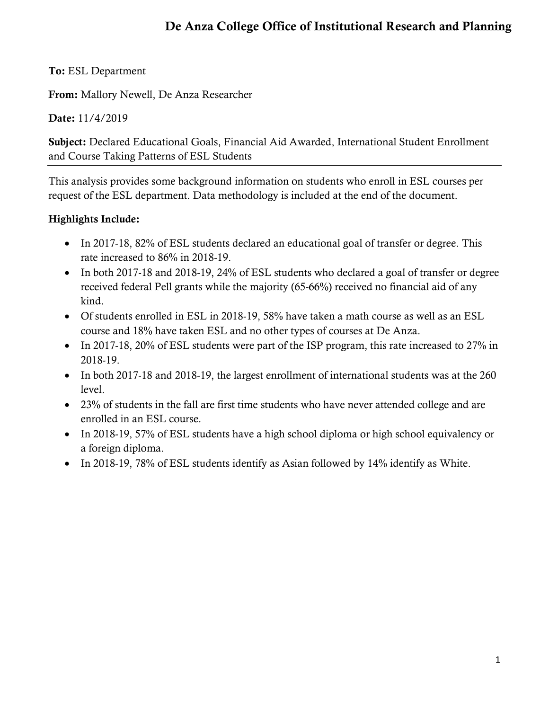# **De Anza College Office of Institutional Research and Planning**

## **To:** ESL Department

**From:** Mallory Newell, De Anza Researcher

## **Date:** 11/4/2019

**Subject:** Declared Educational Goals, Financial Aid Awarded, International Student Enrollment and Course Taking Patterns of ESL Students

This analysis provides some background information on students who enroll in ESL courses per request of the ESL department. Data methodology is included at the end of the document.

## **Highlights Include:**

- In 2017-18, 82% of ESL students declared an educational goal of transfer or degree. This rate increased to 86% in 2018-19.
- In both 2017-18 and 2018-19, 24% of ESL students who declared a goal of transfer or degree received federal Pell grants while the majority (65-66%) received no financial aid of any kind.
- Of students enrolled in ESL in 2018-19, 58% have taken a math course as well as an ESL course and 18% have taken ESL and no other types of courses at De Anza.
- In 2017-18, 20% of ESL students were part of the ISP program, this rate increased to 27% in 2018-19.
- In both 2017-18 and 2018-19, the largest enrollment of international students was at the 260 level.
- 23% of students in the fall are first time students who have never attended college and are enrolled in an ESL course.
- In 2018-19, 57% of ESL students have a high school diploma or high school equivalency or a foreign diploma.
- In 2018-19, 78% of ESL students identify as Asian followed by 14% identify as White.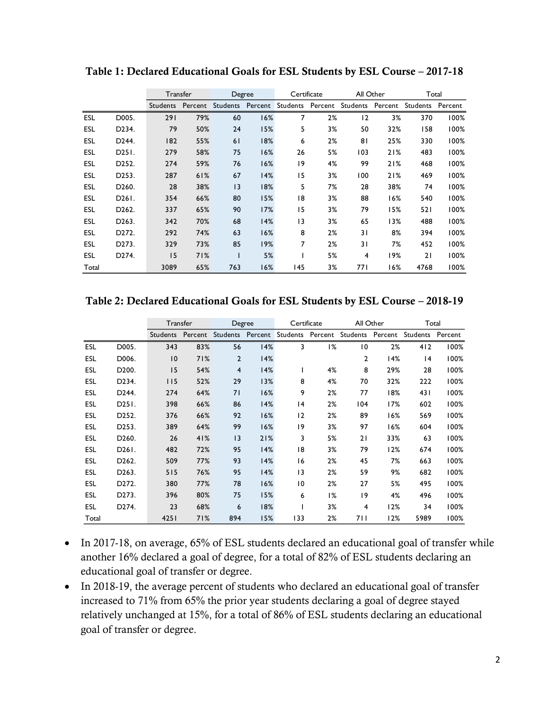|            |                    | Transfer |         | Degree   |         | All Other<br>Certificate |         |                | Total   |          |         |
|------------|--------------------|----------|---------|----------|---------|--------------------------|---------|----------------|---------|----------|---------|
|            |                    | Students | Percent | Students | Percent | Students                 | Percent | Students       | Percent | Students | Percent |
| ESL        | D005.              | 291      | 79%     | 60       | 16%     | 7                        | 2%      | 12             | 3%      | 370      | 100%    |
| <b>ESL</b> | D <sub>2</sub> 34. | 79       | 50%     | 24       | 15%     | 5                        | 3%      | 50             | 32%     | 158      | 100%    |
| <b>ESL</b> | D244.              | 182      | 55%     | 61       | 18%     | 6                        | 2%      | 81             | 25%     | 330      | 100%    |
| <b>ESL</b> | D251.              | 279      | 58%     | 75       | 16%     | 26                       | 5%      | 103            | 21%     | 483      | 100%    |
| <b>ESL</b> | D <sub>252</sub> . | 274      | 59%     | 76       | 16%     | 9                        | 4%      | 99             | 21%     | 468      | 100%    |
| <b>ESL</b> | D253.              | 287      | 61%     | 67       | 14%     | 15                       | 3%      | 100            | 21%     | 469      | 100%    |
| <b>ESL</b> | D <sub>260</sub> . | 28       | 38%     | 3        | 18%     | 5                        | 7%      | 28             | 38%     | 74       | 100%    |
| ESL        | D <sub>261</sub> . | 354      | 66%     | 80       | 15%     | 8                        | 3%      | 88             | 16%     | 540      | 100%    |
| <b>ESL</b> | D <sub>262</sub> . | 337      | 65%     | 90       | 17%     | 15                       | 3%      | 79             | 15%     | 521      | 100%    |
| <b>ESL</b> | D <sub>263</sub> . | 342      | 70%     | 68       | 14%     | 3                        | 3%      | 65             | 13%     | 488      | 100%    |
| <b>ESL</b> | D <sub>272</sub> . | 292      | 74%     | 63       | 16%     | 8                        | 2%      | 31             | 8%      | 394      | 100%    |
| <b>ESL</b> | D273.              | 329      | 73%     | 85       | 19%     | 7                        | 2%      | 31             | 7%      | 452      | 100%    |
| <b>ESL</b> | D <sub>274</sub> . | 15       | 71%     | ı        | 5%      |                          | 5%      | $\overline{4}$ | 19%     | 21       | 100%    |
| Total      |                    | 3089     | 65%     | 763      | 16%     | 145                      | 3%      | 77 I           | 16%     | 4768     | 100%    |

**Table 1: Declared Educational Goals for ESL Students by ESL Course – 2017-18**

Table 2: Declared Educational Goals for ESL Students by ESL Course - 2018-19

|            |                    |                 | Transfer | Degree           |         | Certificate     |    | All Other                                          |     | Total |      |
|------------|--------------------|-----------------|----------|------------------|---------|-----------------|----|----------------------------------------------------|-----|-------|------|
|            |                    | <b>Students</b> |          | Percent Students | Percent |                 |    | Students Percent Students Percent Students Percent |     |       |      |
| <b>ESL</b> | D005.              | 343             | 83%      | 56               | 14%     | 3               | 1% | 10                                                 | 2%  | 412   | 100% |
| <b>ESL</b> | D006.              | $\overline{10}$ | 71%      | $\overline{2}$   | 14%     |                 |    | 2                                                  | 14% | 4     | 100% |
| <b>ESL</b> | D <sub>200</sub> . | 15              | 54%      | $\overline{4}$   | 14%     |                 | 4% | 8                                                  | 29% | 28    | 100% |
| <b>ESL</b> | D <sub>2</sub> 34. | 115             | 52%      | 29               | 13%     | 8               | 4% | 70                                                 | 32% | 222   | 100% |
| <b>ESL</b> | D <sub>244</sub> . | 274             | 64%      | 71               | 16%     | 9               | 2% | 77                                                 | 18% | 431   | 100% |
| <b>ESL</b> | D251.              | 398             | 66%      | 86               | 14%     | 4               | 2% | 104                                                | 17% | 602   | 100% |
| <b>ESL</b> | D <sub>252</sub> . | 376             | 66%      | 92               | 16%     | 12              | 2% | 89                                                 | 16% | 569   | 100% |
| <b>ESL</b> | D <sub>253</sub> . | 389             | 64%      | 99               | 16%     | 9               | 3% | 97                                                 | 16% | 604   | 100% |
| ESL        | D <sub>260</sub> . | 26              | 41%      | 13               | 21%     | 3               | 5% | 21                                                 | 33% | 63    | 100% |
| <b>ESL</b> | D <sub>261</sub> . | 482             | 72%      | 95               | 14%     | 18              | 3% | 79                                                 | 12% | 674   | 100% |
| ESL        | D <sub>262</sub> . | 509             | 77%      | 93               | 14%     | 16              | 2% | 45                                                 | 7%  | 663   | 100% |
| <b>ESL</b> | D <sub>263</sub> . | 515             | 76%      | 95               | 14%     | 3               | 2% | 59                                                 | 9%  | 682   | 100% |
| <b>ESL</b> | D <sub>272</sub> . | 380             | 77%      | 78               | 16%     | $\overline{10}$ | 2% | 27                                                 | 5%  | 495   | 100% |
| <b>ESL</b> | D <sub>273</sub> . | 396             | 80%      | 75               | 15%     | 6               | 1% | 9                                                  | 4%  | 496   | 100% |
| <b>ESL</b> | D <sub>2</sub> 74. | 23              | 68%      | 6                | 18%     |                 | 3% | 4                                                  | 12% | 34    | 100% |
| Total      |                    | 4251            | 71%      | 894              | 15%     | 133             | 2% | 711                                                | 12% | 5989  | 100% |

- In 2017-18, on average, 65% of ESL students declared an educational goal of transfer while another 16% declared a goal of degree, for a total of 82% of ESL students declaring an educational goal of transfer or degree.
- In 2018-19, the average percent of students who declared an educational goal of transfer increased to 71% from 65% the prior year students declaring a goal of degree stayed relatively unchanged at 15%, for a total of 86% of ESL students declaring an educational goal of transfer or degree.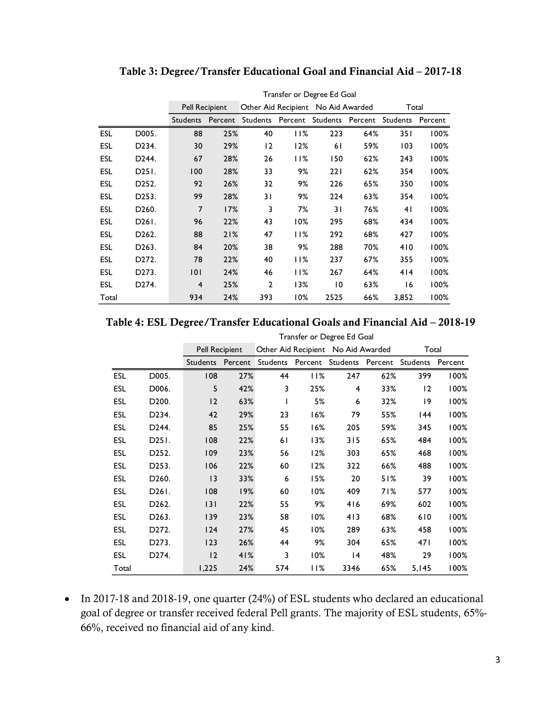|            |                    |                 | Transfer or Degree Ed Goal |                |         |                                    |         |          |         |
|------------|--------------------|-----------------|----------------------------|----------------|---------|------------------------------------|---------|----------|---------|
|            |                    | Pell Recipient  |                            |                |         | Other Aid Recipient No Aid Awarded |         | Total    |         |
|            |                    | <b>Students</b> | Percent                    | Students       | Percent | Students                           | Percent | Students | Percent |
| <b>ESL</b> | D005.              | 88              | 25%                        | 40             | 11%     | 223                                | 64%     | 351      | 100%    |
| <b>ESL</b> | D234.              | 30              | 29%                        | 12             | 12%     | 61                                 | 59%     | 103      | 100%    |
| <b>ESL</b> | D244.              | 67              | 28%                        | 26             | 11%     | 150                                | 62%     | 243      | 100%    |
| <b>ESL</b> | D251.              | 100             | 28%                        | 33             | 9%      | 221                                | 62%     | 354      | 100%    |
| <b>ESL</b> | D252.              | 92              | 26%                        | 32             | 9%      | 226                                | 65%     | 350      | 100%    |
| <b>ESL</b> | D253.              | 99              | 28%                        | 31             | 9%      | 224                                | 63%     | 354      | 100%    |
| <b>ESL</b> | D <sub>260</sub> . | 7               | 17%                        | 3              | 7%      | 31                                 | 76%     | 41       | 100%    |
| <b>ESL</b> | D261.              | 96              | 22%                        | 43             | 10%     | 295                                | 68%     | 434      | 100%    |
| <b>ESL</b> | D <sub>262</sub> . | 88              | 21%                        | 47             | 11%     | 292                                | 68%     | 427      | 100%    |
| <b>ESL</b> | D263.              | 84              | 20%                        | 38             | 9%      | 288                                | 70%     | 410      | 100%    |
| <b>ESL</b> | D272.              | 78              | 22%                        | 40             | 11%     | 237                                | 67%     | 355      | 100%    |
| <b>ESL</b> | D273.              | 101             | 24%                        | 46             | 11%     | 267                                | 64%     | 414      | 100%    |
| <b>ESL</b> | D274.              | $\overline{4}$  | 25%                        | $\overline{2}$ | 13%     | $\overline{10}$                    | 63%     | 16       | 100%    |
| Total      |                    | 934             | 24%                        | 393            | 10%     | 2525                               | 66%     | 3,852    | 100%    |

### **Table 3: Degree/Transfer Educational Goal and Financial Aid – 2017-18**

## **Table 4: ESL Degree/Transfer Educational Goals and Financial Aid – 2018-19**

|            |                              |                 | Transfer or Degree Ed Goal |          |     |                                    |     |             |         |  |
|------------|------------------------------|-----------------|----------------------------|----------|-----|------------------------------------|-----|-------------|---------|--|
|            |                              |                 | <b>Pell Recipient</b>      |          |     | Other Aid Recipient No Aid Awarded |     | Total       |         |  |
|            |                              | <b>Students</b> | Percent                    | Students |     | Percent Students Percent           |     | Students    | Percent |  |
| <b>ESL</b> | D005.                        | 108             | 27%                        | 44       | 11% | 247                                | 62% | 399         | 100%    |  |
| <b>ESL</b> | D006.                        | 5               | 42%                        | 3        | 25% | 4                                  | 33% | 12          | 100%    |  |
| <b>ESL</b> | D <sub>200</sub> .           | 12              | 63%                        |          | 5%  | 6                                  | 32% | $ 9\rangle$ | 100%    |  |
| ESL        | D <sub>2</sub> 34.           | 42              | 29%                        | 23       | 16% | 79                                 | 55% | 144         | 100%    |  |
| ESL        | D244.                        | 85              | 25%                        | 55       | 16% | 205                                | 59% | 345         | 100%    |  |
| ESL        | D <sub>25</sub> <sub>1</sub> | 108             | 22%                        | 61       | 13% | 315                                | 65% | 484         | 100%    |  |
| <b>ESL</b> | D <sub>252</sub> .           | 109             | 23%                        | 56       | 12% | 303                                | 65% | 468         | 100%    |  |
| <b>ESL</b> | D <sub>253</sub> .           | 106             | 22%                        | 60       | 12% | 322                                | 66% | 488         | 100%    |  |
| ESL        | D <sub>260</sub> .           | 13              | 33%                        | 6        | 15% | 20                                 | 51% | 39          | 100%    |  |
| ESL        | D <sub>26</sub> I.           | 108             | 19%                        | 60       | 10% | 409                                | 71% | 577         | 100%    |  |
| <b>ESL</b> | D <sub>262</sub> .           | 3               | 22%                        | 55       | 9%  | 416                                | 69% | 602         | 100%    |  |
| <b>ESL</b> | D <sub>263</sub> .           | 139             | 23%                        | 58       | 10% | 413                                | 68% | 610         | 100%    |  |
| <b>ESL</b> | D272.                        | 124             | 27%                        | 45       | 10% | 289                                | 63% | 458         | 100%    |  |
| ESL        | D273.                        | 123             | 26%                        | 44       | 9%  | 304                                | 65% | 471         | 100%    |  |
| ESL        | D274.                        | 12              | 41%                        | 3        | 10% | 14                                 | 48% | 29          | 100%    |  |
| Total      |                              | 1,225           | 24%                        | 574      | 11% | 3346                               | 65% | 5,145       | 100%    |  |

• In 2017-18 and 2018-19, one quarter (24%) of ESL students who declared an educational goal of degree or transfer received federal Pell grants. The majority of ESL students, 65%- 66%, received no financial aid of any kind.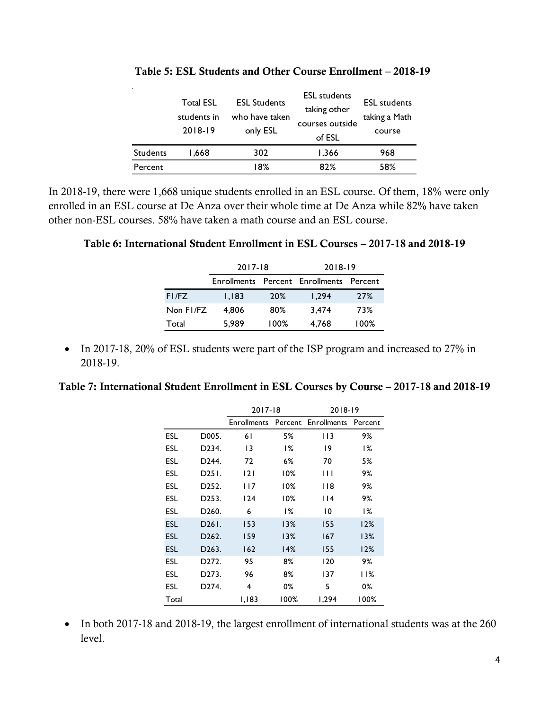|                 | 2018-19 | only ESL | courses outside<br>of ESL | course |
|-----------------|---------|----------|---------------------------|--------|
| <b>Students</b> | 1.668   | 302      | 1,366                     | 968    |
| Percent         |         | 18%      | 82%                       | 58%    |

 $\mathbf{r}$ 

**Table 5: ESL Students and Other Course Enrollment – 2018-19**

In 2018-19, there were 1,668 unique students enrolled in an ESL course. Of them, 18% were only enrolled in an ESL course at De Anza over their whole time at De Anza while 82% have taken other non-ESL courses. 58% have taken a math course and an ESL course.

#### **Table 6: International Student Enrollment in ESL Courses – 2017-18 and 2018-19**

|           | $2017 - 18$        |      | $2018 - 19$         |         |  |
|-----------|--------------------|------|---------------------|---------|--|
|           | <b>Enrollments</b> |      | Percent Enrollments | Percent |  |
| FI/FZ     | 1.183              | 20%  | 1.294               | 27%     |  |
| Non FI/FZ | 4.806              | 80%  | 3.474               | 73%     |  |
| Total     | 5.989              | 100% | 4,768               | 100%    |  |

• In 2017-18, 20% of ESL students were part of the ISP program and increased to 27% in 2018-19.

#### **Table 7: International Student Enrollment in ESL Courses by Course – 2017-18 and 2018-19**

|            |                    | $2017 - 18$ |       | 2018-19                         |         |  |
|------------|--------------------|-------------|-------|---------------------------------|---------|--|
|            |                    |             |       | Enrollments Percent Enrollments | Percent |  |
| ESL        | D005.              | 61          | 5%    | I I 3                           | 9%      |  |
| ESL        | D234.              | 13          | 1%    | 19                              | $1\%$   |  |
| ESL        | D244.              | 72          | 6%    | 70                              | 5%      |  |
| ESL        | D251.              | 2           | 10%   | Ш                               | 9%      |  |
| ESL        | D252.              | 117         | 10%   | l 18                            | 9%      |  |
| ESL        | D253.              | 124         | 10%   | l 14                            | 9%      |  |
| ESL        | D260.              | 6           | $1\%$ | 10                              | 1%      |  |
| <b>ESL</b> | D261.              | 153         | 13%   | 155                             | 12%     |  |
| <b>ESL</b> | D262.              | 159         | 13%   | 167                             | 13%     |  |
| <b>ESL</b> | D <sub>263</sub> . | 162         | 14%   | 155                             | 12%     |  |
| ESL        | D272.              | 95          | 8%    | 120                             | 9%      |  |
| ESL        | D273.              | 96          | 8%    | 137                             | 11%     |  |
| ESL        | D274.              | 4           | 0%    | 5                               | 0%      |  |
| Total      |                    | 1,183       | 100%  | 1,294                           | 100%    |  |

• In both 2017-18 and 2018-19, the largest enrollment of international students was at the 260 level.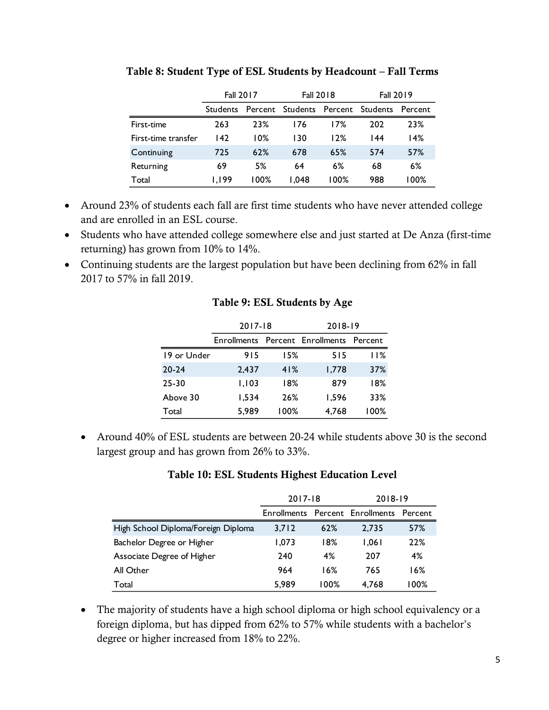|                     | <b>Fall 2017</b> |        | <b>Fall 2018</b>                          |      | <b>Fall 2019</b> |       |
|---------------------|------------------|--------|-------------------------------------------|------|------------------|-------|
|                     | <b>Students</b>  |        | Percent Students Percent Students Percent |      |                  |       |
| First-time          | 263              | 23%    | 176                                       | 17%  | 202              | 23%   |
| First-time transfer | 142              | $10\%$ | 130                                       | 12%  | 144              | 14%   |
| Continuing          | 725              | 62%    | 678                                       | 65%  | 574              | 57%   |
| Returning           | 69               | 5%     | 64                                        | 6%   | 68               | 6%    |
| Total               | 1.199            | 00% ا  | 048. ا                                    | 100% | 988              | I 00% |

#### **Table 8: Student Type of ESL Students by Headcount – Fall Terms**

- Around 23% of students each fall are first time students who have never attended college and are enrolled in an ESL course.
- Students who have attended college somewhere else and just started at De Anza (first-time returning) has grown from 10% to 14%.
- Continuing students are the largest population but have been declining from 62% in fall 2017 to 57% in fall 2019.

|             | 2017-18 |      | 2018-19                                 |      |  |
|-------------|---------|------|-----------------------------------------|------|--|
|             |         |      | Enrollments Percent Enrollments Percent |      |  |
| 19 or Under | 915     | 15%  | 515                                     | 11%  |  |
| $20 - 24$   | 2.437   | 41%  | 1,778                                   | 37%  |  |
| $25 - 30$   | 1,103   | 18%  | 879                                     | 18%  |  |
| Above 30    | 1,534   | 26%  | 1.596                                   | 33%  |  |
| Total       | 5,989   | 100% | 4,768                                   | 100% |  |

#### **Table 9: ESL Students by Age**

 Around 40% of ESL students are between 20-24 while students above 30 is the second largest group and has grown from 26% to 33%.

| Table 10: ESL Students Highest Education Level |  |  |
|------------------------------------------------|--|--|
|------------------------------------------------|--|--|

|                                     | $2017 - 18$ |      | 2018-19                                 |         |
|-------------------------------------|-------------|------|-----------------------------------------|---------|
|                                     |             |      | Enrollments Percent Enrollments Percent |         |
| High School Diploma/Foreign Diploma | 3,712       | 62%  | 2.735                                   | 57%     |
| Bachelor Degree or Higher           | 1.073       | 18%  | 1.061                                   | 22%     |
| Associate Degree of Higher          | 240         | 4%   | 207                                     | 4%      |
| All Other                           | 964         | 16%  | 765                                     | 16%     |
| Total                               | 5.989       | 100% | 4.768                                   | $100\%$ |

 The majority of students have a high school diploma or high school equivalency or a foreign diploma, but has dipped from 62% to 57% while students with a bachelor's degree or higher increased from 18% to 22%.